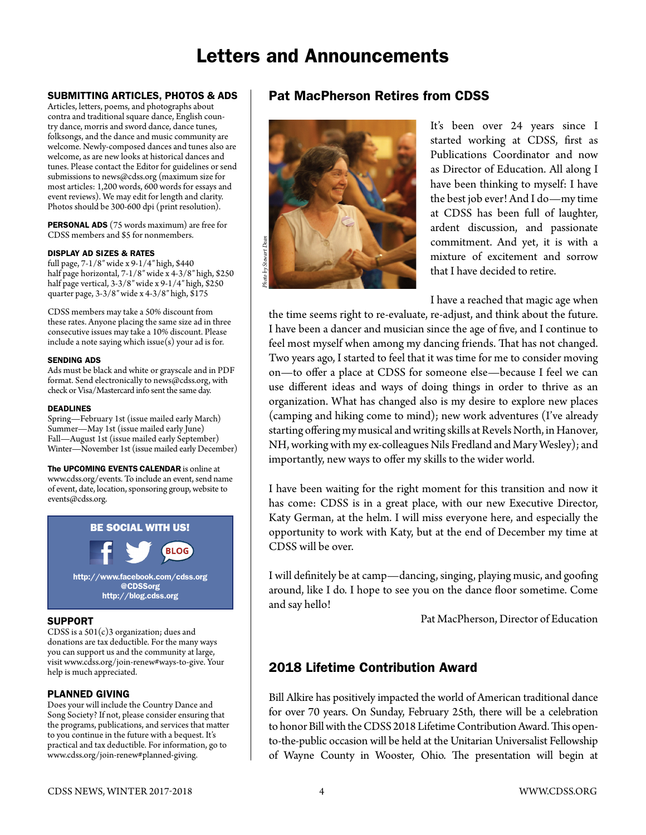# Letters and Announcements

### SUBMITTING ARTICLES, PHOTOS & ADS

Articles, letters, poems, and photographs about contra and traditional square dance, English country dance, morris and sword dance, dance tunes, folksongs, and the dance and music community are welcome. Newly-composed dances and tunes also are welcome, as are new looks at historical dances and tunes. Please contact the Editor for guidelines or send submissions to [news@cdss.org](mailto:news@cdss.org) (maximum size for most articles: 1,200 words, 600 words for essays and event reviews). We may edit for length and clarity. Photos should be 300-600 dpi (print resolution).

PERSONAL ADS (75 words maximum) are free for CDSS members and \$5 for nonmembers.

#### DISPLAY AD SIZES & RATES

full page, 7-1/8″ wide x 9-1/4″ high, \$440 half page horizontal, 7-1/8″ wide x 4-3/8″ high, \$250 half page vertical, 3-3/8″ wide x 9-1/4″ high, \$250 quarter page, 3-3/8″ wide x 4-3/8″ high, \$175

CDSS members may take a 50% discount from these rates. Anyone placing the same size ad in three consecutive issues may take a 10% discount. Please include a note saying which issue $(s)$  your ad is for.

#### SENDING ADS

Ads must be black and white or grayscale and in PDF format. Send electronically to [news@cdss.org,](mailto:news@cdss.org) with check or Visa/Mastercard info sent the same day.

#### DEADLINES

Spring—February 1st (issue mailed early March) Summer—May 1st (issue mailed early June) Fall—August 1st (issue mailed early September) Winter—November 1st (issue mailed early December)

#### The UPCOMING EVENTS CALENDAR is online at

www.cdss.org/events. To include an event, send name of event, date, location, sponsoring group, website to events@cdss.org.



#### SUPPORT

CDSS is a 501(c)3 organization; dues and donations are tax deductible. For the many ways you can support us and the community at large, visit [www.cdss.org/join-renew#ways-to-give.](http://www.cdss.org/join-renew#ways-to-give) Your help is much appreciated.

#### PLANNED GIVING

Does your will include the Country Dance and Song Society? If not, please consider ensuring that the programs, publications, and services that matter to you continue in the future with a bequest. It's practical and tax deductible. For information, go to www.cdss.org/join-renew#planned-giving.

### Pat MacPherson Retires from CDSS



It's been over 24 years since I started working at CDSS, first as Publications Coordinator and now as Director of Education. All along I have been thinking to myself: I have the best job ever! And I do—my time at CDSS has been full of laughter, ardent discussion, and passionate commitment. And yet, it is with a mixture of excitement and sorrow that I have decided to retire.

I have a reached that magic age when

the time seems right to re-evaluate, re-adjust, and think about the future. I have been a dancer and musician since the age of five, and I continue to feel most myself when among my dancing friends. That has not changed. Two years ago, I started to feel that it was time for me to consider moving on—to offer a place at CDSS for someone else—because I feel we can use different ideas and ways of doing things in order to thrive as an organization. What has changed also is my desire to explore new places (camping and hiking come to mind); new work adventures (I've already starting offering my musical and writing skills at Revels North, in Hanover, NH, working with my ex-colleagues Nils Fredland and Mary Wesley); and importantly, new ways to offer my skills to the wider world.

I have been waiting for the right moment for this transition and now it has come: CDSS is in a great place, with our new Executive Director, Katy German, at the helm. I will miss everyone here, and especially the opportunity to work with Katy, but at the end of December my time at CDSS will be over.

I will definitely be at camp—dancing, singing, playing music, and goofing around, like I do. I hope to see you on the dance floor sometime. Come and say hello!

Pat MacPherson, Director of Education

# 2018 Lifetime Contribution Award

Bill Alkire has positively impacted the world of American traditional dance for over 70 years. On Sunday, February 25th, there will be a celebration to honor Bill with the CDSS 2018 Lifetime Contribution Award. This opento-the-public occasion will be held at the Unitarian Universalist Fellowship of Wayne County in Wooster, Ohio. The presentation will begin at